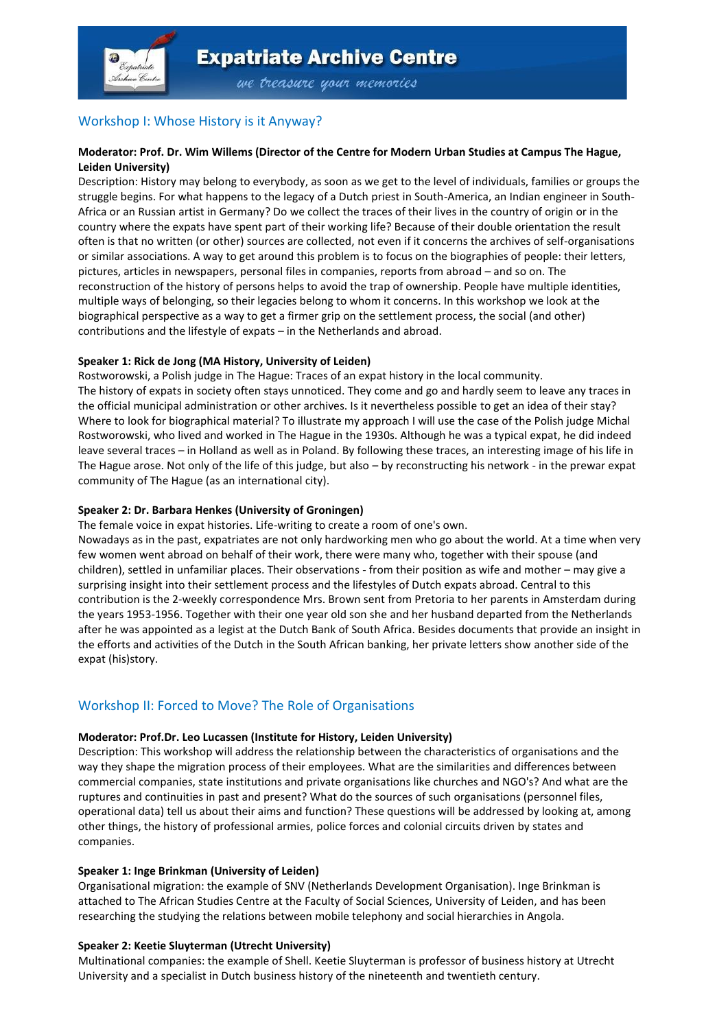

we treasure your memories

# Workshop I: Whose History is it Anyway?

## **Moderator: Prof. Dr. Wim Willems (Director of the Centre for Modern Urban Studies at Campus The Hague, Leiden University)**

Description: History may belong to everybody, as soon as we get to the level of individuals, families or groups the struggle begins. For what happens to the legacy of a Dutch priest in South-America, an Indian engineer in South-Africa or an Russian artist in Germany? Do we collect the traces of their lives in the country of origin or in the country where the expats have spent part of their working life? Because of their double orientation the result often is that no written (or other) sources are collected, not even if it concerns the archives of self-organisations or similar associations. A way to get around this problem is to focus on the biographies of people: their letters, pictures, articles in newspapers, personal files in companies, reports from abroad – and so on. The reconstruction of the history of persons helps to avoid the trap of ownership. People have multiple identities, multiple ways of belonging, so their legacies belong to whom it concerns. In this workshop we look at the biographical perspective as a way to get a firmer grip on the settlement process, the social (and other) contributions and the lifestyle of expats – in the Netherlands and abroad.

# **Speaker 1: Rick de Jong (MA History, University of Leiden)**

Rostworowski, a Polish judge in The Hague: Traces of an expat history in the local community. The history of expats in society often stays unnoticed. They come and go and hardly seem to leave any traces in the official municipal administration or other archives. Is it nevertheless possible to get an idea of their stay? Where to look for biographical material? To illustrate my approach I will use the case of the Polish judge Michal Rostworowski, who lived and worked in The Hague in the 1930s. Although he was a typical expat, he did indeed leave several traces – in Holland as well as in Poland. By following these traces, an interesting image of his life in The Hague arose. Not only of the life of this judge, but also – by reconstructing his network - in the prewar expat community of The Hague (as an international city).

# **Speaker 2: Dr. Barbara Henkes (University of Groningen)**

The female voice in expat histories. Life-writing to create a room of one's own.

Nowadays as in the past, expatriates are not only hardworking men who go about the world. At a time when very few women went abroad on behalf of their work, there were many who, together with their spouse (and children), settled in unfamiliar places. Their observations - from their position as wife and mother – may give a surprising insight into their settlement process and the lifestyles of Dutch expats abroad. Central to this contribution is the 2-weekly correspondence Mrs. Brown sent from Pretoria to her parents in Amsterdam during the years 1953-1956. Together with their one year old son she and her husband departed from the Netherlands after he was appointed as a legist at the Dutch Bank of South Africa. Besides documents that provide an insight in the efforts and activities of the Dutch in the South African banking, her private letters show another side of the expat (his)story.

# Workshop II: Forced to Move? The Role of Organisations

# **Moderator: Prof.Dr. Leo Lucassen (Institute for History, Leiden University)**

Description: This workshop will address the relationship between the characteristics of organisations and the way they shape the migration process of their employees. What are the similarities and differences between commercial companies, state institutions and private organisations like churches and NGO's? And what are the ruptures and continuities in past and present? What do the sources of such organisations (personnel files, operational data) tell us about their aims and function? These questions will be addressed by looking at, among other things, the history of professional armies, police forces and colonial circuits driven by states and companies.

# **Speaker 1: Inge Brinkman (University of Leiden)**

Organisational migration: the example of SNV (Netherlands Development Organisation). Inge Brinkman is attached to The African Studies Centre at the Faculty of Social Sciences, University of Leiden, and has been researching the studying the relations between mobile telephony and social hierarchies in Angola.

# **Speaker 2: Keetie Sluyterman (Utrecht University)**

Multinational companies: the example of Shell. Keetie Sluyterman is professor of business history at Utrecht University and a specialist in Dutch business history of the nineteenth and twentieth century.